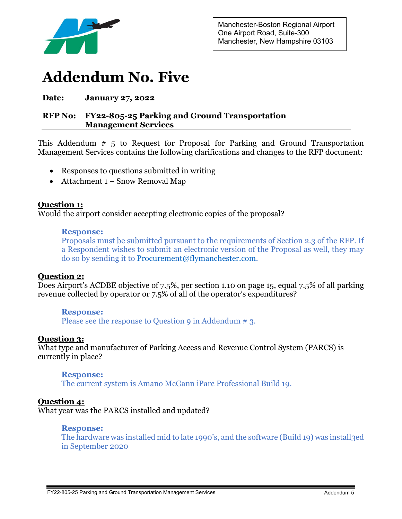

# **Addendum No. Five**

# **Date: January 27, 2022**

# **RFP No: FY22-805-25 Parking and Ground Transportation Management Services**

This Addendum # 5 to Request for Proposal for Parking and Ground Transportation Management Services contains the following clarifications and changes to the RFP document:

- Responses to questions submitted in writing
- Attachment 1 Snow Removal Map

# **Question 1:**

Would the airport consider accepting electronic copies of the proposal?

### **Response:**

Proposals must be submitted pursuant to the requirements of Section 2.3 of the RFP. If a Respondent wishes to submit an electronic version of the Proposal as well, they may do so by sending it to [Procurement@flymanchester.com.](mailto:Procurement@flymanchester.com)

# **Question 2:**

Does Airport's ACDBE objective of 7.5%, per section 1.10 on page 15, equal 7.5% of all parking revenue collected by operator or 7.5% of all of the operator's expenditures?

### **Response:**

Please see the response to Question 9 in Addendum # 3.

# **Question 3:**

What type and manufacturer of Parking Access and Revenue Control System (PARCS) is currently in place?

### **Response:**

The current system is Amano McGann iParc Professional Build 19.

# **Question 4:**

What year was the PARCS installed and updated?

### **Response:**

The hardware was installed mid to late 1990's, and the software (Build 19) was install3ed in September 2020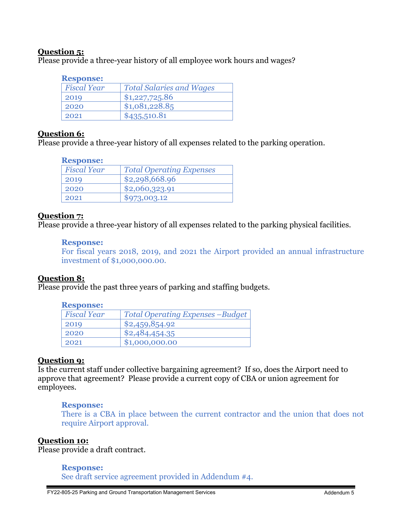# **Question 5:**

Please provide a three-year history of all employee work hours and wages?

### **Response:**

| <b>Fiscal Year</b> | <b>Total Salaries and Wages</b> |
|--------------------|---------------------------------|
| 2019               | \$1,227,725.86                  |
| 2020               | \$1,081,228.85                  |
| 2021               | \$435,510.81                    |

# **Question 6:**

Please provide a three-year history of all expenses related to the parking operation.

| <b>Response:</b> |                    |                                 |
|------------------|--------------------|---------------------------------|
|                  | <b>Fiscal Year</b> | <b>Total Operating Expenses</b> |
|                  | 2019               | \$2,298,668.96                  |
|                  | 2020               | \$2,060,323.91                  |
|                  | 2021               | \$973,003.12                    |

# **Question 7:**

Please provide a three-year history of all expenses related to the parking physical facilities.

### **Response:**

For fiscal years 2018, 2019, and 2021 the Airport provided an annual infrastructure investment of \$1,000,000.00.

# **Question 8:**

Please provide the past three years of parking and staffing budgets.

### **Response:**

| <b>Fiscal Year</b> | <b>Total Operating Expenses -Budget</b> |
|--------------------|-----------------------------------------|
| 2019               | \$2,459,854.92                          |
| 2020               | \$2,484,454.35                          |
| 2021               | \$1,000,000.00                          |
|                    |                                         |

# **Question 9:**

Is the current staff under collective bargaining agreement? If so, does the Airport need to approve that agreement? Please provide a current copy of CBA or union agreement for employees.

### **Response:**

There is a CBA in place between the current contractor and the union that does not require Airport approval.

### **Question 10:**

Please provide a draft contract.

### **Response:**

See draft service agreement provided in Addendum #4.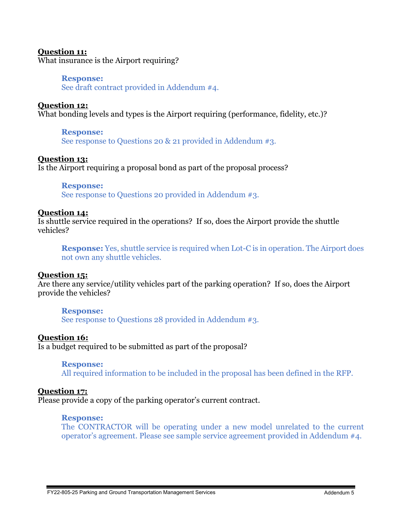### **Question 11:**

What insurance is the Airport requiring?

### **Response:**

See draft contract provided in Addendum #4.

### **Question 12:**

What bonding levels and types is the Airport requiring (performance, fidelity, etc.)?

### **Response:**

See response to Questions 20 & 21 provided in Addendum #3.

### **Question 13:**

Is the Airport requiring a proposal bond as part of the proposal process?

### **Response:**

See response to Questions 20 provided in Addendum #3.

### **Question 14:**

Is shuttle service required in the operations? If so, does the Airport provide the shuttle vehicles?

**Response:** Yes, shuttle service is required when Lot-C is in operation. The Airport does not own any shuttle vehicles.

### **Question 15:**

Are there any service/utility vehicles part of the parking operation? If so, does the Airport provide the vehicles?

### **Response:**

See response to Questions 28 provided in Addendum #3.

### **Question 16:**

Is a budget required to be submitted as part of the proposal?

### **Response:**

All required information to be included in the proposal has been defined in the RFP.

# **Question 17:**

Please provide a copy of the parking operator's current contract.

### **Response:**

The CONTRACTOR will be operating under a new model unrelated to the current operator's agreement. Please see sample service agreement provided in Addendum #4.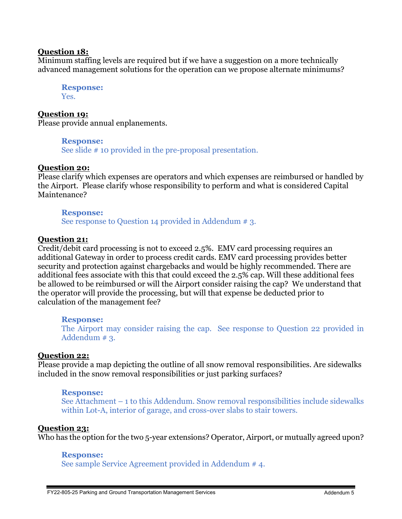### **Question 18:**

Minimum staffing levels are required but if we have a suggestion on a more technically advanced management solutions for the operation can we propose alternate minimums?

**Response:** Yes.

**Question 19:** Please provide annual enplanements.

**Response:**

See slide # 10 provided in the pre-proposal presentation.

### **Question 20:**

Please clarify which expenses are operators and which expenses are reimbursed or handled by the Airport. Please clarify whose responsibility to perform and what is considered Capital Maintenance?

### **Response:**

See response to Question 14 provided in Addendum # 3.

### **Question 21:**

Credit/debit card processing is not to exceed 2.5%. EMV card processing requires an additional Gateway in order to process credit cards. EMV card processing provides better security and protection against chargebacks and would be highly recommended. There are additional fees associate with this that could exceed the 2.5% cap. Will these additional fees be allowed to be reimbursed or will the Airport consider raising the cap? We understand that the operator will provide the processing, but will that expense be deducted prior to calculation of the management fee?

### **Response:**

The Airport may consider raising the cap. See response to Question 22 provided in Addendum # 3.

### **Question 22:**

Please provide a map depicting the outline of all snow removal responsibilities. Are sidewalks included in the snow removal responsibilities or just parking surfaces?

### **Response:**

See Attachment – 1 to this Addendum. Snow removal responsibilities include sidewalks within Lot-A, interior of garage, and cross-over slabs to stair towers.

### **Question 23:**

Who has the option for the two 5-year extensions? Operator, Airport, or mutually agreed upon?

### **Response:**

See sample Service Agreement provided in Addendum # 4.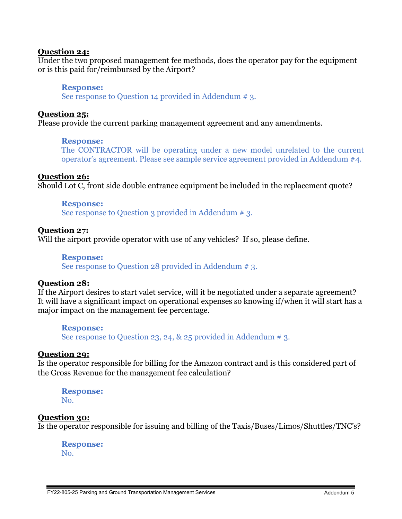### **Question 24:**

Under the two proposed management fee methods, does the operator pay for the equipment or is this paid for/reimbursed by the Airport?

### **Response:**

See response to Question 14 provided in Addendum # 3.

### **Question 25:**

Please provide the current parking management agreement and any amendments.

### **Response:**

The CONTRACTOR will be operating under a new model unrelated to the current operator's agreement. Please see sample service agreement provided in Addendum #4.

### **Question 26:**

Should Lot C, front side double entrance equipment be included in the replacement quote?

### **Response:**

See response to Question 3 provided in Addendum # 3.

### **Question 27:**

Will the airport provide operator with use of any vehicles? If so, please define.

### **Response:**

See response to Question 28 provided in Addendum # 3.

# **Question 28:**

If the Airport desires to start valet service, will it be negotiated under a separate agreement? It will have a significant impact on operational expenses so knowing if/when it will start has a major impact on the management fee percentage.

### **Response:**

See response to Question 23, 24,  $\&$  25 provided in Addendum # 3.

### **Question 29:**

Is the operator responsible for billing for the Amazon contract and is this considered part of the Gross Revenue for the management fee calculation?

# **Response:** No.

# **Question 30:**

Is the operator responsible for issuing and billing of the Taxis/Buses/Limos/Shuttles/TNC's?

**Response:** No.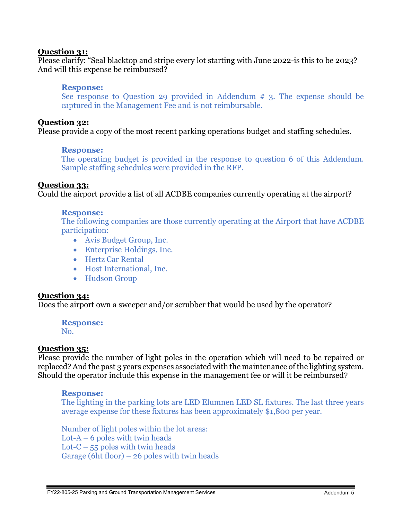### **Question 31:**

Please clarify: "Seal blacktop and stripe every lot starting with June 2022-is this to be 2023? And will this expense be reimbursed?

### **Response:**

See response to Question 29 provided in Addendum # 3. The expense should be captured in the Management Fee and is not reimbursable.

### **Question 32:**

Please provide a copy of the most recent parking operations budget and staffing schedules.

### **Response:**

The operating budget is provided in the response to question 6 of this Addendum. Sample staffing schedules were provided in the RFP.

# **Question 33:**

Could the airport provide a list of all ACDBE companies currently operating at the airport?

### **Response:**

The following companies are those currently operating at the Airport that have ACDBE participation:

- Avis Budget Group, Inc.
- Enterprise Holdings, Inc.
- Hertz Car Rental
- Host International, Inc.
- Hudson Group

### **Question 34:**

Does the airport own a sweeper and/or scrubber that would be used by the operator?

# **Response:**

No.

# **Question 35:**

Please provide the number of light poles in the operation which will need to be repaired or replaced? And the past 3 years expenses associated with the maintenance of the lighting system. Should the operator include this expense in the management fee or will it be reimbursed?

### **Response:**

The lighting in the parking lots are LED Elumnen LED SL fixtures. The last three years average expense for these fixtures has been approximately \$1,800 per year.

Number of light poles within the lot areas: Lot- $A - 6$  poles with twin heads Lot- $C$  – 55 poles with twin heads Garage (6ht floor) – 26 poles with twin heads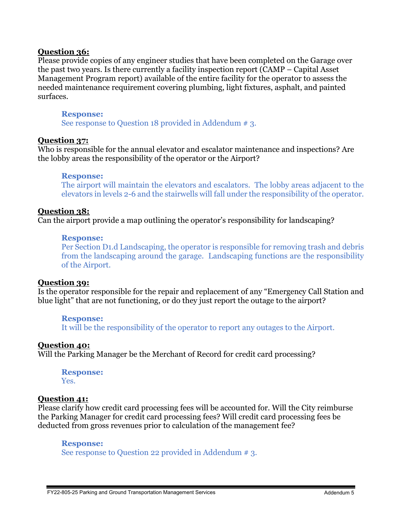### **Question 36:**

Please provide copies of any engineer studies that have been completed on the Garage over the past two years. Is there currently a facility inspection report (CAMP – Capital Asset Management Program report) available of the entire facility for the operator to assess the needed maintenance requirement covering plumbing, light fixtures, asphalt, and painted surfaces.

### **Response:**

See response to Question 18 provided in Addendum # 3.

### **Question 37:**

Who is responsible for the annual elevator and escalator maintenance and inspections? Are the lobby areas the responsibility of the operator or the Airport?

### **Response:**

The airport will maintain the elevators and escalators. The lobby areas adjacent to the elevators in levels 2-6 and the stairwells will fall under the responsibility of the operator.

### **Question 38:**

Can the airport provide a map outlining the operator's responsibility for landscaping?

### **Response:**

Per Section D1.d Landscaping, the operator is responsible for removing trash and debris from the landscaping around the garage. Landscaping functions are the responsibility of the Airport.

### **Question 39:**

Is the operator responsible for the repair and replacement of any "Emergency Call Station and blue light" that are not functioning, or do they just report the outage to the airport?

### **Response:**

It will be the responsibility of the operator to report any outages to the Airport.

# **Question 40:**

Will the Parking Manager be the Merchant of Record for credit card processing?

**Response:** Yes.

# **Question 41:**

Please clarify how credit card processing fees will be accounted for. Will the City reimburse the Parking Manager for credit card processing fees? Will credit card processing fees be deducted from gross revenues prior to calculation of the management fee?

### **Response:**

See response to Question 22 provided in Addendum # 3.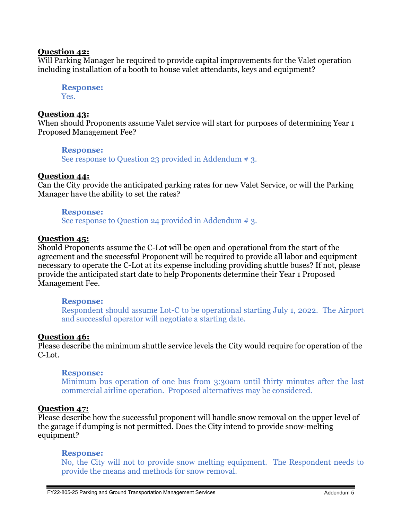### **Question 42:**

Will Parking Manager be required to provide capital improvements for the Valet operation including installation of a booth to house valet attendants, keys and equipment?

**Response:** Yes.

### **Question 43:**

When should Proponents assume Valet service will start for purposes of determining Year 1 Proposed Management Fee?

### **Response:**

See response to Question 23 provided in Addendum # 3.

### **Question 44:**

Can the City provide the anticipated parking rates for new Valet Service, or will the Parking Manager have the ability to set the rates?

### **Response:**

See response to Question 24 provided in Addendum # 3.

### **Question 45:**

Should Proponents assume the C-Lot will be open and operational from the start of the agreement and the successful Proponent will be required to provide all labor and equipment necessary to operate the C-Lot at its expense including providing shuttle buses? If not, please provide the anticipated start date to help Proponents determine their Year 1 Proposed Management Fee.

### **Response:**

Respondent should assume Lot-C to be operational starting July 1, 2022. The Airport and successful operator will negotiate a starting date.

# **Question 46:**

Please describe the minimum shuttle service levels the City would require for operation of the C-Lot.

### **Response:**

Minimum bus operation of one bus from 3:30am until thirty minutes after the last commercial airline operation. Proposed alternatives may be considered.

# **Question 47:**

Please describe how the successful proponent will handle snow removal on the upper level of the garage if dumping is not permitted. Does the City intend to provide snow-melting equipment?

### **Response:**

No, the City will not to provide snow melting equipment. The Respondent needs to provide the means and methods for snow removal.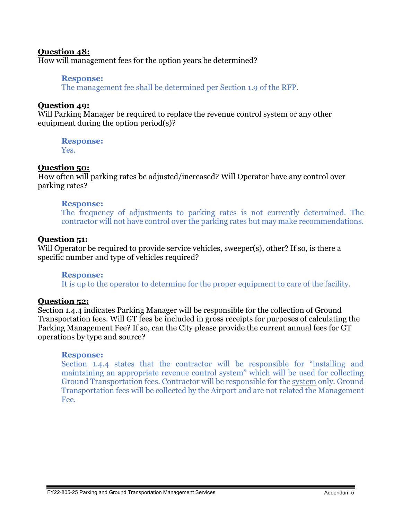### **Question 48:**

How will management fees for the option years be determined?

### **Response:**

The management fee shall be determined per Section 1.9 of the RFP.

### **Question 49:**

Will Parking Manager be required to replace the revenue control system or any other equipment during the option period(s)?

**Response:**

Yes.

# **Question 50:**

How often will parking rates be adjusted/increased? Will Operator have any control over parking rates?

### **Response:**

The frequency of adjustments to parking rates is not currently determined. The contractor will not have control over the parking rates but may make recommendations.

### **Question 51:**

Will Operator be required to provide service vehicles, sweeper(s), other? If so, is there a specific number and type of vehicles required?

### **Response:**

It is up to the operator to determine for the proper equipment to care of the facility.

# **Question 52:**

Section 1.4.4 indicates Parking Manager will be responsible for the collection of Ground Transportation fees. Will GT fees be included in gross receipts for purposes of calculating the Parking Management Fee? If so, can the City please provide the current annual fees for GT operations by type and source?

### **Response:**

Section 1.4.4 states that the contractor will be responsible for "installing and maintaining an appropriate revenue control system" which will be used for collecting Ground Transportation fees. Contractor will be responsible for the system only. Ground Transportation fees will be collected by the Airport and are not related the Management Fee.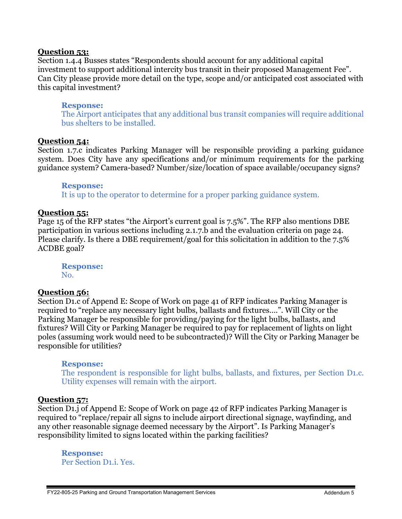### **Question 53:**

Section 1.4.4 Busses states "Respondents should account for any additional capital investment to support additional intercity bus transit in their proposed Management Fee". Can City please provide more detail on the type, scope and/or anticipated cost associated with this capital investment?

### **Response:**

The Airport anticipates that any additional bus transit companies will require additional bus shelters to be installed.

### **Question 54:**

Section 1.7.c indicates Parking Manager will be responsible providing a parking guidance system. Does City have any specifications and/or minimum requirements for the parking guidance system? Camera-based? Number/size/location of space available/occupancy signs?

**Response:** It is up to the operator to determine for a proper parking guidance system.

### **Question 55:**

Page 15 of the RFP states "the Airport's current goal is 7.5%". The RFP also mentions DBE participation in various sections including 2.1.7.b and the evaluation criteria on page 24. Please clarify. Is there a DBE requirement/goal for this solicitation in addition to the 7.5% ACDBE goal?

**Response:** No.

# **Question 56:**

Section D1.c of Append E: Scope of Work on page 41 of RFP indicates Parking Manager is required to "replace any necessary light bulbs, ballasts and fixtures….". Will City or the Parking Manager be responsible for providing/paying for the light bulbs, ballasts, and fixtures? Will City or Parking Manager be required to pay for replacement of lights on light poles (assuming work would need to be subcontracted)? Will the City or Parking Manager be responsible for utilities?

### **Response:**

The respondent is responsible for light bulbs, ballasts, and fixtures, per Section D1.c. Utility expenses will remain with the airport.

# **Question 57:**

Section D1.j of Append E: Scope of Work on page 42 of RFP indicates Parking Manager is required to "replace/repair all signs to include airport directional signage, wayfinding, and any other reasonable signage deemed necessary by the Airport". Is Parking Manager's responsibility limited to signs located within the parking facilities?

**Response:** Per Section D1.i. Yes.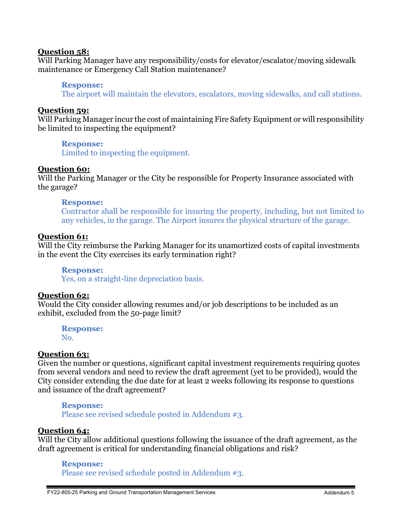### **Question 58:**

Will Parking Manager have any responsibility/costs for elevator/escalator/moving sidewalk maintenance or Emergency Call Station maintenance?

### **Response:**

The airport will maintain the elevators, escalators, moving sidewalks, and call stations.

### **Question 59:**

Will Parking Manager incur the cost of maintaining Fire Safety Equipment or will responsibility be limited to inspecting the equipment?

### **Response:**

Limited to inspecting the equipment.

### **Question 60:**

Will the Parking Manager or the City be responsible for Property Insurance associated with the garage?

### **Response:**

Contractor shall be responsible for insuring the property, including, but not limited to any vehicles, in the garage. The Airport insures the physical structure of the garage.

### **Question 61:**

Will the City reimburse the Parking Manager for its unamortized costs of capital investments in the event the City exercises its early termination right?

**Response:** Yes, on a straight-line depreciation basis.

### **Question 62:**

Would the City consider allowing resumes and/or job descriptions to be included as an exhibit, excluded from the 50-page limit?

**Response:** No.

### **Question 63:**

Given the number or questions, significant capital investment requirements requiring quotes from several vendors and need to review the draft agreement (yet to be provided), would the City consider extending the due date for at least 2 weeks following its response to questions and issuance of the draft agreement?

### **Response:**

Please see revised schedule posted in Addendum #3.

# **Question 64:**

Will the City allow additional questions following the issuance of the draft agreement, as the draft agreement is critical for understanding financial obligations and risk?

### **Response:**

Please see revised schedule posted in Addendum #3.